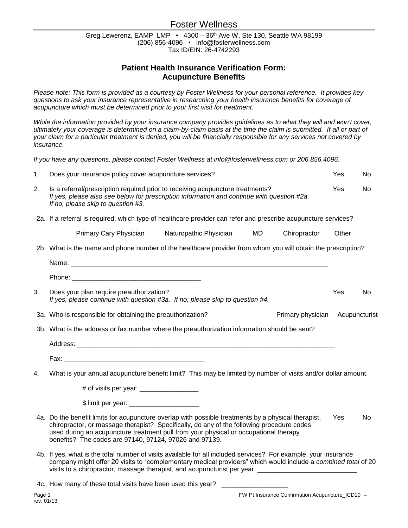# Foster Wellness

Greg Lewerenz, EAMP, LMP • 4300 - 36<sup>th</sup> Ave W, Ste 130, Seattle WA 98199 (206) 856-4096 • info@fosterwellness.com Tax ID/EIN: 26-4742293

## **Patient Health Insurance Verification Form: Acupuncture Benefits**

*Please note: This form is provided as a courtesy by Foster Wellness for your personal reference. It provides key questions to ask your insurance representative in researching your health insurance benefits for coverage of acupuncture which must be determined prior to your first visit for treatment.* 

While the information provided by your insurance company provides guidelines as to what they will and won't cover, *ultimately your coverage is determined on a claim-by-claim basis at the time the claim is submitted. If all or part of your claim for a particular treatment is denied, you will be financially responsible for any services not covered by insurance.*

*If you have any questions, please contact Foster Wellness at info@fosterwellness.com or 206.856.4096.*

| 1.                                                                                           | Does your insurance policy cover acupuncture services?                                                                                                                                                                                                                                                                                             |       |  |  |  |  |  |  |
|----------------------------------------------------------------------------------------------|----------------------------------------------------------------------------------------------------------------------------------------------------------------------------------------------------------------------------------------------------------------------------------------------------------------------------------------------------|-------|--|--|--|--|--|--|
| 2.                                                                                           | Is a referral/prescription required prior to receiving acupuncture treatments?<br>If yes, please also see below for prescription information and continue with question #2a.<br>If no, please skip to question #3.                                                                                                                                 |       |  |  |  |  |  |  |
|                                                                                              | 2a. If a referral is required, which type of healthcare provider can refer and prescribe acupuncture services?                                                                                                                                                                                                                                     |       |  |  |  |  |  |  |
|                                                                                              | Primary Cary Physician<br>Naturopathic Physician<br><b>MD</b><br>Chiropractor                                                                                                                                                                                                                                                                      | Other |  |  |  |  |  |  |
|                                                                                              | 2b. What is the name and phone number of the healthcare provider from whom you will obtain the prescription?                                                                                                                                                                                                                                       |       |  |  |  |  |  |  |
|                                                                                              |                                                                                                                                                                                                                                                                                                                                                    |       |  |  |  |  |  |  |
|                                                                                              |                                                                                                                                                                                                                                                                                                                                                    |       |  |  |  |  |  |  |
| 3.                                                                                           | Does your plan require preauthorization?<br>If yes, please continue with question #3a. If no, please skip to question #4.                                                                                                                                                                                                                          |       |  |  |  |  |  |  |
|                                                                                              | 3a. Who is responsible for obtaining the preauthorization?<br>Primary physician Acupuncturist                                                                                                                                                                                                                                                      |       |  |  |  |  |  |  |
| 3b. What is the address or fax number where the preauthorization information should be sent? |                                                                                                                                                                                                                                                                                                                                                    |       |  |  |  |  |  |  |
|                                                                                              |                                                                                                                                                                                                                                                                                                                                                    |       |  |  |  |  |  |  |
|                                                                                              |                                                                                                                                                                                                                                                                                                                                                    |       |  |  |  |  |  |  |
| 4.                                                                                           | What is your annual acupuncture benefit limit? This may be limited by number of visits and/or dollar amount.                                                                                                                                                                                                                                       |       |  |  |  |  |  |  |
|                                                                                              |                                                                                                                                                                                                                                                                                                                                                    |       |  |  |  |  |  |  |
|                                                                                              |                                                                                                                                                                                                                                                                                                                                                    |       |  |  |  |  |  |  |
|                                                                                              | 4a. Do the benefit limits for acupuncture overlap with possible treatments by a physical therapist,<br>chiropractor, or massage therapist? Specifically, do any of the following procedure codes<br>used during an acupuncture treatment pull from your physical or occupational therapy<br>benefits? The codes are 97140, 97124, 97026 and 97139. |       |  |  |  |  |  |  |
|                                                                                              | 4b. If yes, what is the total number of visits available for all included services? For example, your insurance<br>company might offer 20 visits to "complementary medical providers" which would include a combined total of 20<br>visits to a chiropractor, massage therapist, and acupuncturist per year. __________________________            |       |  |  |  |  |  |  |

4c. How many of these total visits have been used this year?